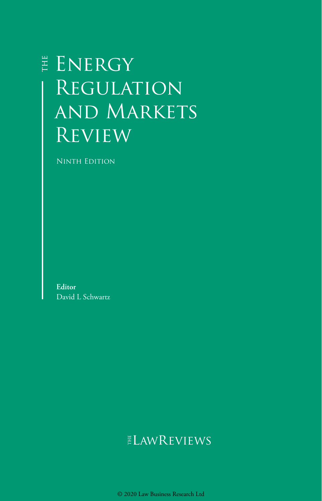# ENERGY **REGULATION** and Markets **REVIEW**

Ninth Edition

**Editor** David L Schwartz

# ELAWREVIEWS

© 2020 Law Business Research Ltd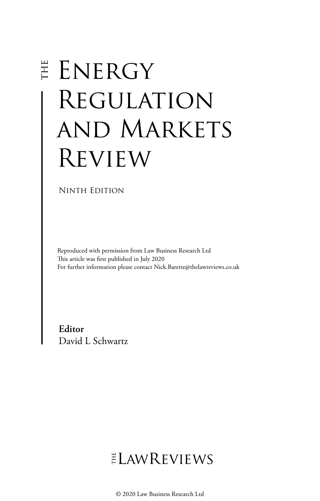# E ENERGY Regulation and Markets Review

Ninth Edition

Reproduced with permission from Law Business Research Ltd This article was first published in July 2020 For further information please contact Nick.Barette@thelawreviews.co.uk

**Editor** David L Schwartz

 $ELMR$  EVIEWS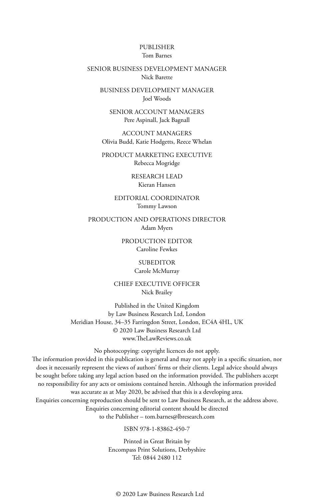#### PUBLISHER Tom Barnes

#### SENIOR BUSINESS DEVELOPMENT MANAGER Nick Barette

BUSINESS DEVELOPMENT MANAGER Joel Woods

SENIOR ACCOUNT MANAGERS Pere Aspinall, Jack Bagnall

ACCOUNT MANAGERS Olivia Budd, Katie Hodgetts, Reece Whelan

PRODUCT MARKETING EXECUTIVE Rebecca Mogridge

> RESEARCH LEAD Kieran Hansen

EDITORIAL COORDINATOR Tommy Lawson

PRODUCTION AND OPERATIONS DIRECTOR Adam Myers

> PRODUCTION EDITOR Caroline Fewkes

#### SUBEDITOR

#### Carole McMurray

CHIEF EXECUTIVE OFFICER Nick Brailey

Published in the United Kingdom by Law Business Research Ltd, London Meridian House, 34–35 Farringdon Street, London, EC4A 4HL, UK © 2020 Law Business Research Ltd www.TheLawReviews.co.uk

No photocopying: copyright licences do not apply.

The information provided in this publication is general and may not apply in a specific situation, nor does it necessarily represent the views of authors' firms or their clients. Legal advice should always be sought before taking any legal action based on the information provided. The publishers accept no responsibility for any acts or omissions contained herein. Although the information provided was accurate as at May 2020, be advised that this is a developing area. Enquiries concerning reproduction should be sent to Law Business Research, at the address above. Enquiries concerning editorial content should be directed to the Publisher – tom.barnes@lbresearch.com

ISBN 978-1-83862-450-7

Printed in Great Britain by Encompass Print Solutions, Derbyshire Tel: 0844 2480 112

© 2020 Law Business Research Ltd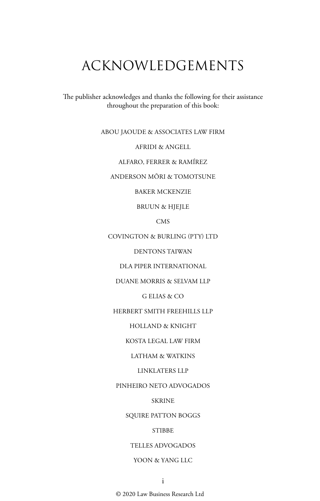# ACKNOWLEDGEMENTS

The publisher acknowledges and thanks the following for their assistance throughout the preparation of this book:

ABOU JAOUDE & ASSOCIATES LAW FIRM

AFRIDI & ANGELL

ALFARO, FERRER & RAMÍREZ

ANDERSON MŌRI & TOMOTSUNE

BAKER MCKENZIE

BRUUN & HJEJLE

CMS

COVINGTON & BURLING (PTY) LTD

DENTONS TAIWAN

DLA PIPER INTERNATIONAL

DUANE MORRIS & SELVAM LLP

G ELIAS & CO

HERBERT SMITH FREEHILLS LLP

HOLLAND & KNIGHT

KOSTA LEGAL LAW FIRM

LATHAM & WATKINS

LINKLATERS LLP

PINHEIRO NETO ADVOGADOS

**SKRINE** 

SQUIRE PATTON BOGGS

STIBBE

TELLES ADVOGADOS

#### YOON & YANG LLC

© 2020 Law Business Research Ltd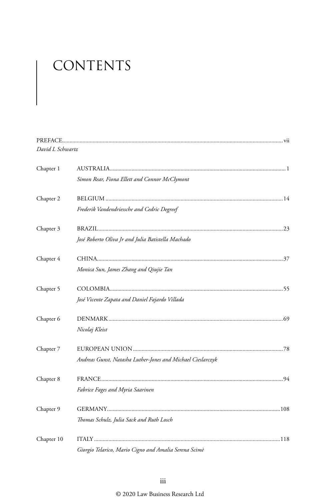# CONTENTS

| David L Schwartz |                                                             |  |
|------------------|-------------------------------------------------------------|--|
| Chapter 1        |                                                             |  |
|                  | Simon Rear, Fiona Ellett and Connor McClymont               |  |
| Chapter 2        |                                                             |  |
|                  | Frederik Vandendriessche and Cedric Degreef                 |  |
| Chapter 3        |                                                             |  |
|                  | José Roberto Oliva Jr and Julia Batistella Machado          |  |
| Chapter 4        |                                                             |  |
|                  | Monica Sun, James Zhang and Qiujie Tan                      |  |
| Chapter 5        |                                                             |  |
|                  | José Vicente Zapata and Daniel Fajardo Villada              |  |
| Chapter 6        |                                                             |  |
|                  | Nicolaj Kleist                                              |  |
| Chapter 7        |                                                             |  |
|                  | Andreas Gunst, Natasha Luther-Jones and Michael Cieslarczyk |  |
| Chapter 8        |                                                             |  |
|                  | Fabrice Fages and Myria Saarinen                            |  |
| Chapter 9        |                                                             |  |
|                  | Thomas Schulz, Julia Sack and Ruth Losch                    |  |
| Chapter 10       |                                                             |  |
|                  | Giorgio Telarico, Mario Cigno and Amalia Serena Scimè       |  |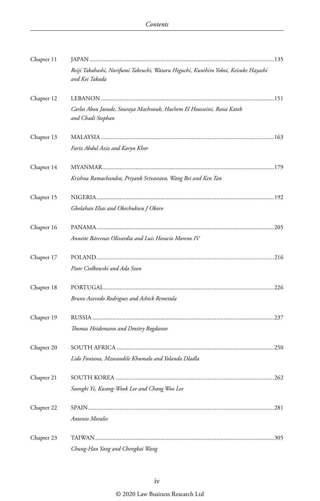| Chapter 11 |                                                                                                       |  |
|------------|-------------------------------------------------------------------------------------------------------|--|
|            | Reiji Takahashi, Norifumi Takeuchi, Wataru Higuchi, Kunihiro Yokoi, Keisuke Hayashi<br>and Kei Takada |  |
| Chapter 12 |                                                                                                       |  |
|            | Carlos Abou Jaoude, Souraya Machnouk, Hachem El Housseini, Rana Kateb<br>and Chadi Stephan            |  |
| Chapter 13 |                                                                                                       |  |
|            | Fariz Abdul Aziz and Karyn Khor                                                                       |  |
| Chapter 14 |                                                                                                       |  |
|            | Krishna Ramachandra, Priyank Srivastava, Wang Bei and Ken Tan                                         |  |
| Chapter 15 |                                                                                                       |  |
|            | Gbolahan Elias and Okechukwu J Okoro                                                                  |  |
| Chapter 16 |                                                                                                       |  |
|            | Annette Bárcenas Olivardía and Luis Horacio Moreno IV                                                 |  |
| Chapter 17 |                                                                                                       |  |
|            | Piotr Ciołkowski and Ada Szon                                                                         |  |
| Chapter 18 |                                                                                                       |  |
|            | Bruno Azevedo Rodrigues and Ashick Remetula                                                           |  |
| Chapter 19 |                                                                                                       |  |
|            | Thomas Heidemann and Dmitry Bogdanov                                                                  |  |
| Chapter 20 |                                                                                                       |  |
|            | Lido Fontana, Mzwandile Khumalo and Yolanda Dladla                                                    |  |
| Chapter 21 |                                                                                                       |  |
|            | Soongki Yi, Kwang-Wook Lee and Chang Woo Lee                                                          |  |
| Chapter 22 |                                                                                                       |  |
|            | Antonio Morales                                                                                       |  |
| Chapter 23 |                                                                                                       |  |
|            | Chung-Han Yang and Chengkai Wang                                                                      |  |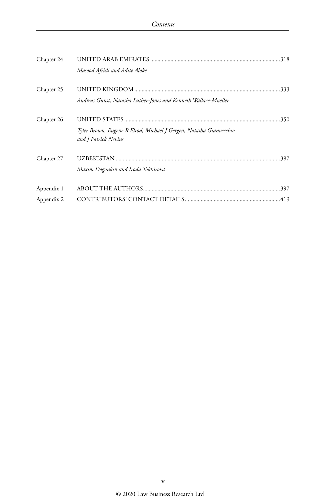| Chapter 24 |                                                                    |  |
|------------|--------------------------------------------------------------------|--|
|            | Masood Afridi and Adite Aloke                                      |  |
| Chapter 25 |                                                                    |  |
|            | Andreas Gunst, Natasha Luther-Jones and Kenneth Wallace-Mueller    |  |
| Chapter 26 |                                                                    |  |
|            | Tyler Brown, Eugene R Elrod, Michael J Gergen, Natasha Gianvecchio |  |
|            | and J Patrick Nevins                                               |  |
| Chapter 27 |                                                                    |  |
|            | Maxim Dogonkin and Iroda Tokhirova                                 |  |
| Appendix 1 |                                                                    |  |
| Appendix 2 |                                                                    |  |
|            |                                                                    |  |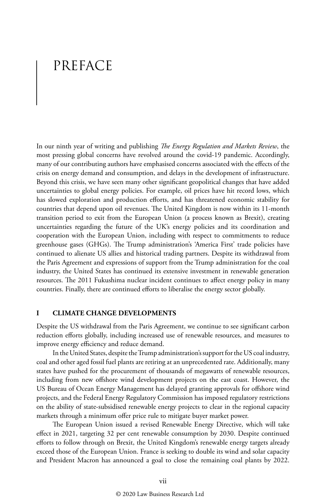## PREFACE

In our ninth year of writing and publishing *The Energy Regulation and Markets Review*, the most pressing global concerns have revolved around the covid-19 pandemic. Accordingly, many of our contributing authors have emphasised concerns associated with the effects of the crisis on energy demand and consumption, and delays in the development of infrastructure. Beyond this crisis, we have seen many other significant geopolitical changes that have added uncertainties to global energy policies. For example, oil prices have hit record lows, which has slowed exploration and production efforts, and has threatened economic stability for countries that depend upon oil revenues. The United Kingdom is now within its 11-month transition period to exit from the European Union (a process known as Brexit), creating uncertainties regarding the future of the UK's energy policies and its coordination and cooperation with the European Union, including with respect to commitments to reduce greenhouse gases (GHGs). The Trump administration's 'America First' trade policies have continued to alienate US allies and historical trading partners. Despite its withdrawal from the Paris Agreement and expressions of support from the Trump administration for the coal industry, the United States has continued its extensive investment in renewable generation resources. The 2011 Fukushima nuclear incident continues to affect energy policy in many countries. Finally, there are continued efforts to liberalise the energy sector globally.

#### **I CLIMATE CHANGE DEVELOPMENTS**

Despite the US withdrawal from the Paris Agreement, we continue to see significant carbon reduction efforts globally, including increased use of renewable resources, and measures to improve energy efficiency and reduce demand.

In the United States, despite the Trump administration's support for the US coal industry, coal and other aged fossil fuel plants are retiring at an unprecedented rate. Additionally, many states have pushed for the procurement of thousands of megawatts of renewable resources, including from new offshore wind development projects on the east coast. However, the US Bureau of Ocean Energy Management has delayed granting approvals for offshore wind projects, and the Federal Energy Regulatory Commission has imposed regulatory restrictions on the ability of state-subsidised renewable energy projects to clear in the regional capacity markets through a minimum offer price rule to mitigate buyer market power.

The European Union issued a revised Renewable Energy Directive, which will take effect in 2021, targeting 32 per cent renewable consumption by 2030. Despite continued efforts to follow through on Brexit, the United Kingdom's renewable energy targets already exceed those of the European Union. France is seeking to double its wind and solar capacity and President Macron has announced a goal to close the remaining coal plants by 2022.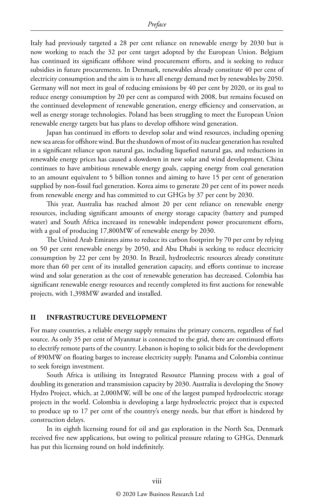Italy had previously targeted a 28 per cent reliance on renewable energy by 2030 but is now working to reach the 32 per cent target adopted by the European Union. Belgium has continued its significant offshore wind procurement efforts, and is seeking to reduce subsidies in future procurements. In Denmark, renewables already constitute 40 per cent of electricity consumption and the aim is to have all energy demand met by renewables by 2050. Germany will not meet its goal of reducing emissions by 40 per cent by 2020, or its goal to reduce energy consumption by 20 per cent as compared with 2008, but remains focused on the continued development of renewable generation, energy efficiency and conservation, as well as energy storage technologies. Poland has been struggling to meet the European Union renewable energy targets but has plans to develop offshore wind generation.

Japan has continued its efforts to develop solar and wind resources, including opening new sea areas for offshore wind. But the shutdown of most of its nuclear generation has resulted in a significant reliance upon natural gas, including liquefied natural gas, and reductions in renewable energy prices has caused a slowdown in new solar and wind development. China continues to have ambitious renewable energy goals, capping energy from coal generation to an amount equivalent to 5 billion tonnes and aiming to have 15 per cent of generation supplied by non-fossil fuel generation. Korea aims to generate 20 per cent of its power needs from renewable energy and has committed to cut GHGs by 37 per cent by 2030.

This year, Australia has reached almost 20 per cent reliance on renewable energy resources, including significant amounts of energy storage capacity (battery and pumped water) and South Africa increased its renewable independent power procurement efforts, with a goal of producing 17,800MW of renewable energy by 2030.

The United Arab Emirates aims to reduce its carbon footprint by 70 per cent by relying on 50 per cent renewable energy by 2050, and Abu Dhabi is seeking to reduce electricity consumption by 22 per cent by 2030. In Brazil, hydroelectric resources already constitute more than 60 per cent of its installed generation capacity, and efforts continue to increase wind and solar generation as the cost of renewable generation has decreased. Colombia has significant renewable energy resources and recently completed its first auctions for renewable projects, with 1,398MW awarded and installed.

#### **II INFRASTRUCTURE DEVELOPMENT**

For many countries, a reliable energy supply remains the primary concern, regardless of fuel source. As only 35 per cent of Myanmar is connected to the grid, there are continued efforts to electrify remote parts of the country. Lebanon is hoping to solicit bids for the development of 890MW on floating barges to increase electricity supply. Panama and Colombia continue to seek foreign investment.

South Africa is utilising its Integrated Resource Planning process with a goal of doubling its generation and transmission capacity by 2030. Australia is developing the Snowy Hydro Project, which, at 2,000MW, will be one of the largest pumped hydroelectric storage projects in the world. Colombia is developing a large hydroelectric project that is expected to produce up to 17 per cent of the country's energy needs, but that effort is hindered by construction delays.

In its eighth licensing round for oil and gas exploration in the North Sea, Denmark received five new applications, but owing to political pressure relating to GHGs, Denmark has put this licensing round on hold indefinitely.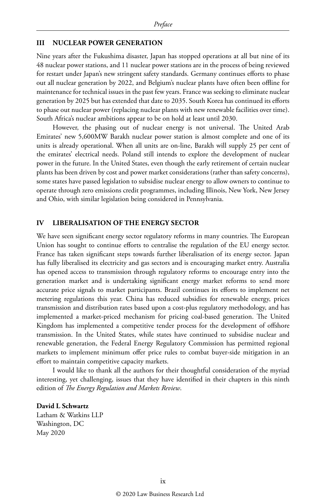#### **III NUCLEAR POWER GENERATION**

Nine years after the Fukushima disaster, Japan has stopped operations at all but nine of its 48 nuclear power stations, and 11 nuclear power stations are in the process of being reviewed for restart under Japan's new stringent safety standards. Germany continues efforts to phase out all nuclear generation by 2022, and Belgium's nuclear plants have often been offline for maintenance for technical issues in the past few years. France was seeking to eliminate nuclear generation by 2025 but has extended that date to 2035. South Korea has continued its efforts to phase out nuclear power (replacing nuclear plants with new renewable facilities over time). South Africa's nuclear ambitions appear to be on hold at least until 2030.

However, the phasing out of nuclear energy is not universal. The United Arab Emirates' new 5,600MW Barakh nuclear power station is almost complete and one of its units is already operational. When all units are on-line, Barakh will supply 25 per cent of the emirates' electrical needs. Poland still intends to explore the development of nuclear power in the future. In the United States, even though the early retirement of certain nuclear plants has been driven by cost and power market considerations (rather than safety concerns), some states have passed legislation to subsidise nuclear energy to allow owners to continue to operate through zero emissions credit programmes, including Illinois, New York, New Jersey and Ohio, with similar legislation being considered in Pennsylvania.

#### **IV LIBERALISATION OF THE ENERGY SECTOR**

We have seen significant energy sector regulatory reforms in many countries. The European Union has sought to continue efforts to centralise the regulation of the EU energy sector. France has taken significant steps towards further liberalisation of its energy sector. Japan has fully liberalised its electricity and gas sectors and is encouraging market entry. Australia has opened access to transmission through regulatory reforms to encourage entry into the generation market and is undertaking significant energy market reforms to send more accurate price signals to market participants. Brazil continues its efforts to implement net metering regulations this year. China has reduced subsidies for renewable energy, prices transmission and distribution rates based upon a cost-plus regulatory methodology, and has implemented a market-priced mechanism for pricing coal-based generation. The United Kingdom has implemented a competitive tender process for the development of offshore transmission. In the United States, while states have continued to subsidise nuclear and renewable generation, the Federal Energy Regulatory Commission has permitted regional markets to implement minimum offer price rules to combat buyer-side mitigation in an effort to maintain competitive capacity markets.

I would like to thank all the authors for their thoughtful consideration of the myriad interesting, yet challenging, issues that they have identified in their chapters in this ninth edition of *The Energy Regulation and Markets Review*.

#### **David L Schwartz**

Latham & Watkins LLP Washington, DC May 2020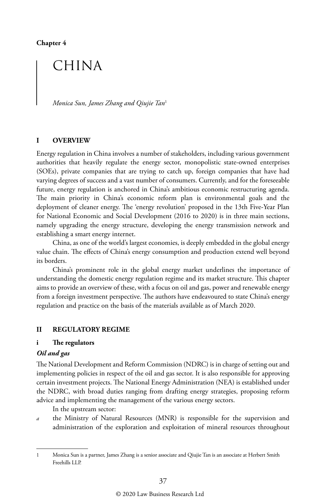**Chapter 4**

## CHINA

*Monica Sun, James Zhang and Qiujie Tan*<sup>1</sup>

#### **I OVERVIEW**

Energy regulation in China involves a number of stakeholders, including various government authorities that heavily regulate the energy sector, monopolistic state-owned enterprises (SOEs), private companies that are trying to catch up, foreign companies that have had varying degrees of success and a vast number of consumers. Currently, and for the foreseeable future, energy regulation is anchored in China's ambitious economic restructuring agenda. The main priority in China's economic reform plan is environmental goals and the deployment of cleaner energy. The 'energy revolution' proposed in the 13th Five-Year Plan for National Economic and Social Development (2016 to 2020) is in three main sections, namely upgrading the energy structure, developing the energy transmission network and establishing a smart energy internet.

China, as one of the world's largest economies, is deeply embedded in the global energy value chain. The effects of China's energy consumption and production extend well beyond its borders.

China's prominent role in the global energy market underlines the importance of understanding the domestic energy regulation regime and its market structure. This chapter aims to provide an overview of these, with a focus on oil and gas, power and renewable energy from a foreign investment perspective. The authors have endeavoured to state China's energy regulation and practice on the basis of the materials available as of March 2020.

#### **II REGULATORY REGIME**

#### **i The regulators**

#### *Oil and gas*

The National Development and Reform Commission (NDRC) is in charge of setting out and implementing policies in respect of the oil and gas sector. It is also responsible for approving certain investment projects. The National Energy Administration (NEA) is established under the NDRC, with broad duties ranging from drafting energy strategies, proposing reform advice and implementing the management of the various energy sectors.

In the upstream sector:

*a* the Ministry of Natural Resources (MNR) is responsible for the supervision and administration of the exploration and exploitation of mineral resources throughout

<sup>1</sup> Monica Sun is a partner, James Zhang is a senior associate and Qiujie Tan is an associate at Herbert Smith Freehills LLP.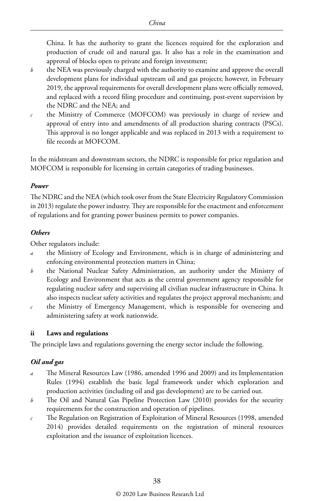China. It has the authority to grant the licences required for the exploration and production of crude oil and natural gas. It also has a role in the examination and approval of blocks open to private and foreign investment;

- *b* the NEA was previously charged with the authority to examine and approve the overall development plans for individual upstream oil and gas projects; however, in February 2019, the approval requirements for overall development plans were officially removed, and replaced with a record filing procedure and continuing, post-event supervision by the NDRC and the NEA; and
- *c* the Ministry of Commerce (MOFCOM) was previously in charge of review and approval of entry into and amendments of all production sharing contracts (PSCs). This approval is no longer applicable and was replaced in 2013 with a requirement to file records at MOFCOM.

In the midstream and downstream sectors, the NDRC is responsible for price regulation and MOFCOM is responsible for licensing in certain categories of trading businesses.

#### *Power*

The NDRC and the NEA (which took over from the State Electricity Regulatory Commission in 2013) regulate the power industry. They are responsible for the enactment and enforcement of regulations and for granting power business permits to power companies.

#### *Others*

Other regulators include:

- *a* the Ministry of Ecology and Environment, which is in charge of administering and enforcing environmental protection matters in China;
- *b* the National Nuclear Safety Administration, an authority under the Ministry of Ecology and Environment that acts as the central government agency responsible for regulating nuclear safety and supervising all civilian nuclear infrastructure in China. It also inspects nuclear safety activities and regulates the project approval mechanism; and
- *c* the Ministry of Emergency Management, which is responsible for overseeing and administering safety at work nationwide.

#### **ii Laws and regulations**

The principle laws and regulations governing the energy sector include the following.

#### *Oil and gas*

- *a* The Mineral Resources Law (1986, amended 1996 and 2009) and its Implementation Rules (1994) establish the basic legal framework under which exploration and production activities (including oil and gas development) are to be carried out.
- *b* The Oil and Natural Gas Pipeline Protection Law (2010) provides for the security requirements for the construction and operation of pipelines.
- *c* The Regulation on Registration of Exploitation of Mineral Resources (1998, amended 2014) provides detailed requirements on the registration of mineral resources exploitation and the issuance of exploitation licences.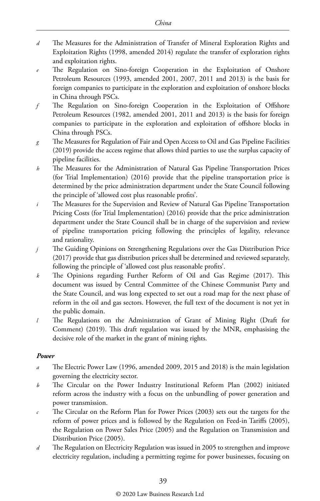- *d* The Measures for the Administration of Transfer of Mineral Exploration Rights and Exploitation Rights (1998, amended 2014) regulate the transfer of exploration rights and exploitation rights.
- *e* The Regulation on Sino-foreign Cooperation in the Exploitation of Onshore Petroleum Resources (1993, amended 2001, 2007, 2011 and 2013) is the basis for foreign companies to participate in the exploration and exploitation of onshore blocks in China through PSCs.
- *f* The Regulation on Sino-foreign Cooperation in the Exploitation of Offshore Petroleum Resources (1982, amended 2001, 2011 and 2013) is the basis for foreign companies to participate in the exploration and exploitation of offshore blocks in China through PSCs.
- *g* The Measures for Regulation of Fair and Open Access to Oil and Gas Pipeline Facilities (2019) provide the access regime that allows third parties to use the surplus capacity of pipeline facilities.
- *h* The Measures for the Administration of Natural Gas Pipeline Transportation Prices (for Trial Implementation) (2016) provide that the pipeline transportation price is determined by the price administration department under the State Council following the principle of 'allowed cost plus reasonable profits'.
- *i* The Measures for the Supervision and Review of Natural Gas Pipeline Transportation Pricing Costs (for Trial Implementation) (2016) provide that the price administration department under the State Council shall be in charge of the supervision and review of pipeline transportation pricing following the principles of legality, relevance and rationality.
- *j* The Guiding Opinions on Strengthening Regulations over the Gas Distribution Price (2017) provide that gas distribution prices shall be determined and reviewed separately, following the principle of 'allowed cost plus reasonable profits'.
- *k* The Opinions regarding Further Reform of Oil and Gas Regime (2017). This document was issued by Central Committee of the Chinese Communist Party and the State Council, and was long expected to set out a road map for the next phase of reform in the oil and gas sectors. However, the full text of the document is not yet in the public domain.
- *l* The Regulations on the Administration of Grant of Mining Right (Draft for Comment) (2019). This draft regulation was issued by the MNR, emphasising the decisive role of the market in the grant of mining rights.

#### *Power*

- *a* The Electric Power Law (1996, amended 2009, 2015 and 2018) is the main legislation governing the electricity sector.
- *b* The Circular on the Power Industry Institutional Reform Plan (2002) initiated reform across the industry with a focus on the unbundling of power generation and power transmission.
- *c* The Circular on the Reform Plan for Power Prices (2003) sets out the targets for the reform of power prices and is followed by the Regulation on Feed-in Tariffs (2005), the Regulation on Power Sales Price (2005) and the Regulation on Transmission and Distribution Price (2005).
- *d* The Regulation on Electricity Regulation was issued in 2005 to strengthen and improve electricity regulation, including a permitting regime for power businesses, focusing on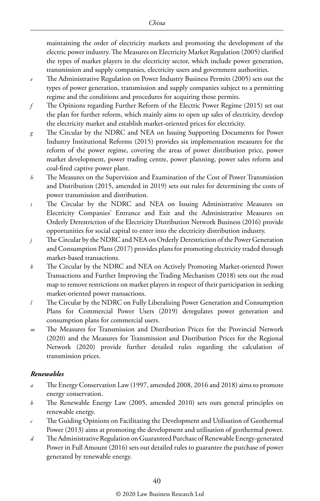maintaining the order of electricity markets and promoting the development of the electric power industry. The Measures on Electricity Market Regulation (2005) clarified the types of market players in the electricity sector, which include power generation, transmission and supply companies, electricity users and government authorities.

- *e* The Administrative Regulation on Power Industry Business Permits (2005) sets out the types of power generation, transmission and supply companies subject to a permitting regime and the conditions and procedures for acquiring those permits.
- *f* The Opinions regarding Further Reform of the Electric Power Regime (2015) set out the plan for further reform, which mainly aims to open up sales of electricity, develop the electricity market and establish market-oriented prices for electricity.
- *g* The Circular by the NDRC and NEA on Issuing Supporting Documents for Power Industry Institutional Reforms (2015) provides six implementation measures for the reform of the power regime, covering the areas of power distribution price, power market development, power trading centre, power planning, power sales reform and coal-fired captive power plant.
- *h* The Measures on the Supervision and Examination of the Cost of Power Transmission and Distribution (2015, amended in 2019) sets out rules for determining the costs of power transmission and distribution.
- *i* The Circular by the NDRC and NEA on Issuing Administrative Measures on Electricity Companies' Entrance and Exit and the Administrative Measures on Orderly Derestriction of the Electricity Distribution Network Business (2016) provide opportunities for social capital to enter into the electricity distribution industry.
- *j* The Circular by the NDRC and NEA on Orderly Derestriction of the Power Generation and Consumption Plans (2017) provides plans for promoting electricity traded through market-based transactions.
- *k* The Circular by the NDRC and NEA on Actively Promoting Market-oriented Power Transactions and Further Improving the Trading Mechanism (2018) sets out the road map to remove restrictions on market players in respect of their participation in seeking market-oriented power transactions.
- *l* The Circular by the NDRC on Fully Liberalising Power Generation and Consumption Plans for Commercial Power Users (2019) deregulates power generation and consumption plans for commercial users.
- *m* The Measures for Transmission and Distribution Prices for the Provincial Network (2020) and the Measures for Transmission and Distribution Prices for the Regional Network (2020) provide further detailed rules regarding the calculation of transmission prices.

#### *Renewables*

- *a* The Energy Conservation Law (1997, amended 2008, 2016 and 2018) aims to promote energy conservation.
- *b* The Renewable Energy Law (2005, amended 2010) sets outs general principles on renewable energy.
- *c* The Guiding Opinions on Facilitating the Development and Utilisation of Geothermal Power (2013) aims at promoting the development and utilisation of geothermal power.
- *d* The Administrative Regulation on Guaranteed Purchase of Renewable Energy-generated Power in Full Amount (2016) sets out detailed rules to guarantee the purchase of power generated by renewable energy.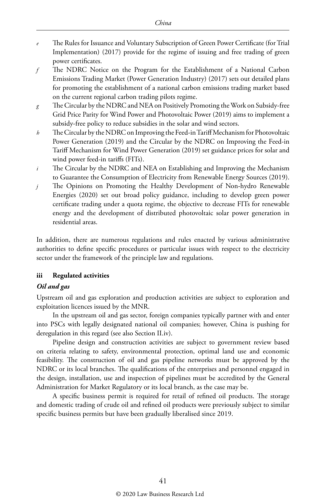- *e* The Rules for Issuance and Voluntary Subscription of Green Power Certificate (for Trial Implementation) (2017) provide for the regime of issuing and free trading of green power certificates.
- *f* The NDRC Notice on the Program for the Establishment of a National Carbon Emissions Trading Market (Power Generation Industry) (2017) sets out detailed plans for promoting the establishment of a national carbon emissions trading market based on the current regional carbon trading pilots regime.
- *g* The Circular by the NDRC and NEA on Positively Promoting the Work on Subsidy-free Grid Price Parity for Wind Power and Photovoltaic Power (2019) aims to implement a subsidy-free policy to reduce subsidies in the solar and wind sectors.
- *h* The Circular by the NDRC on Improving the Feed-in Tariff Mechanism for Photovoltaic Power Generation (2019) and the Circular by the NDRC on Improving the Feed-in Tariff Mechanism for Wind Power Generation (2019) set guidance prices for solar and wind power feed-in tariffs (FITs).
- *i* The Circular by the NDRC and NEA on Establishing and Improving the Mechanism to Guarantee the Consumption of Electricity from Renewable Energy Sources (2019).
- *j* The Opinions on Promoting the Healthy Development of Non-hydro Renewable Energies (2020) set out broad policy guidance, including to develop green power certificate trading under a quota regime, the objective to decrease FITs for renewable energy and the development of distributed photovoltaic solar power generation in residential areas.

In addition, there are numerous regulations and rules enacted by various administrative authorities to define specific procedures or particular issues with respect to the electricity sector under the framework of the principle law and regulations.

#### **iii Regulated activities**

#### *Oil and gas*

Upstream oil and gas exploration and production activities are subject to exploration and exploitation licences issued by the MNR.

In the upstream oil and gas sector, foreign companies typically partner with and enter into PSCs with legally designated national oil companies; however, China is pushing for deregulation in this regard (see also Section II.iv).

Pipeline design and construction activities are subject to government review based on criteria relating to safety, environmental protection, optimal land use and economic feasibility. The construction of oil and gas pipeline networks must be approved by the NDRC or its local branches. The qualifications of the enterprises and personnel engaged in the design, installation, use and inspection of pipelines must be accredited by the General Administration for Market Regulatory or its local branch, as the case may be.

A specific business permit is required for retail of refined oil products. The storage and domestic trading of crude oil and refined oil products were previously subject to similar specific business permits but have been gradually liberalised since 2019.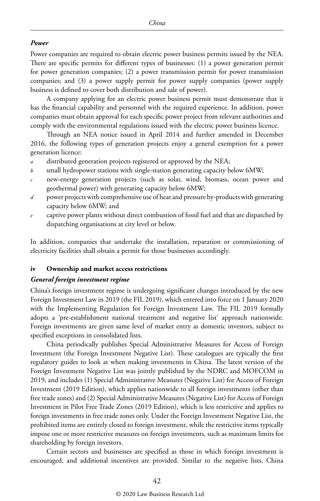#### *Power*

Power companies are required to obtain electric power business permits issued by the NEA. There are specific permits for different types of businesses: (1) a power generation permit for power generation companies; (2) a power transmission permit for power transmission companies; and (3) a power supply permit for power supply companies (power supply business is defined to cover both distribution and sale of power).

A company applying for an electric power business permit must demonstrate that it has the financial capability and personnel with the required experience. In addition, power companies must obtain approval for each specific power project from relevant authorities and comply with the environmental regulations issued with the electric power business licence.

Through an NEA notice issued in April 2014 and further amended in December 2016, the following types of generation projects enjoy a general exemption for a power generation licence:

- *a* distributed generation projects registered or approved by the NEA;
- *b* small hydropower stations with single-station generating capacity below 6MW;
- *c* new-energy generation projects (such as solar, wind, biomass, ocean power and geothermal power) with generating capacity below 6MW;
- *d* power projects with comprehensive use of heat and pressure by-products with generating capacity below 6MW; and
- *e* captive power plants without direct combustion of fossil fuel and that are dispatched by dispatching organisations at city level or below.

In addition, companies that undertake the installation, reparation or commissioning of electricity facilities shall obtain a permit for those businesses accordingly.

#### **iv Ownership and market access restrictions**

#### *General foreign investment regime*

China's foreign investment regime is undergoing significant changes introduced by the new Foreign Investment Law in 2019 (the FIL 2019), which entered into force on 1 January 2020 with the Implementing Regulation for Foreign Investment Law. The FIL 2019 formally adopts a 'pre-establishment national treatment and negative list' approach nationwide. Foreign investments are given same level of market entry as domestic investors, subject to specified exceptions in consolidated lists.

China periodically publishes Special Administrative Measures for Access of Foreign Investment (the Foreign Investment Negative List). These catalogues are typically the first regulatory guides to look at when making investments in China. The latest version of the Foreign Investment Negative List was jointly published by the NDRC and MOFCOM in 2019, and includes (1) Special Administrative Measures (Negative List) for Access of Foreign Investment (2019 Edition), which applies nationwide to all foreign investments (other than free trade zones) and (2) Special Administrative Measures (Negative List) for Access of Foreign Investment in Pilot Free Trade Zones (2019 Edition), which is less restrictive and applies to foreign investments in free trade zones only. Under the Foreign Investment Negative List, the prohibited items are entirely closed to foreign investment, while the restrictive items typically impose one or more restrictive measures on foreign investments, such as maximum limits for shareholding by foreign investors.

Certain sectors and businesses are specified as those in which foreign investment is encouraged, and additional incentives are provided. Similar to the negative lists, China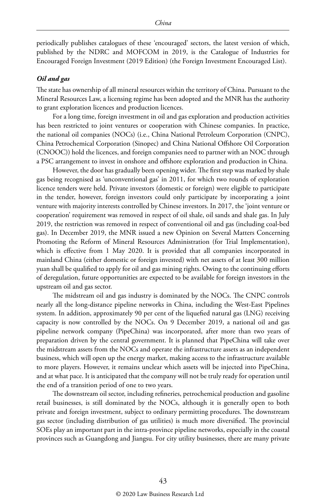periodically publishes catalogues of these 'encouraged' sectors, the latest version of which, published by the NDRC and MOFCOM in 2019, is the Catalogue of Industries for Encouraged Foreign Investment (2019 Edition) (the Foreign Investment Encouraged List).

#### *Oil and gas*

The state has ownership of all mineral resources within the territory of China. Pursuant to the Mineral Resources Law, a licensing regime has been adopted and the MNR has the authority to grant exploration licences and production licences.

For a long time, foreign investment in oil and gas exploration and production activities has been restricted to joint ventures or cooperation with Chinese companies. In practice, the national oil companies (NOCs) (i.e., China National Petroleum Corporation (CNPC), China Petrochemical Corporation (Sinopec) and China National Offshore Oil Corporation (CNOOC)) hold the licences, and foreign companies need to partner with an NOC through a PSC arrangement to invest in onshore and offshore exploration and production in China.

However, the door has gradually been opening wider. The first step was marked by shale gas being recognised as 'unconventional gas' in 2011, for which two rounds of exploration licence tenders were held. Private investors (domestic or foreign) were eligible to participate in the tender, however, foreign investors could only participate by incorporating a joint venture with majority interests controlled by Chinese investors. In 2017, the 'joint venture or cooperation' requirement was removed in respect of oil shale, oil sands and shale gas. In July 2019, the restriction was removed in respect of conventional oil and gas (including coal-bed gas). In December 2019, the MNR issued a new Opinion on Several Matters Concerning Promoting the Reform of Mineral Resources Administration (for Trial Implementation), which is effective from 1 May 2020. It is provided that all companies incorporated in mainland China (either domestic or foreign invested) with net assets of at least 300 million yuan shall be qualified to apply for oil and gas mining rights. Owing to the continuing efforts of deregulation, future opportunities are expected to be available for foreign investors in the upstream oil and gas sector.

The midstream oil and gas industry is dominated by the NOCs. The CNPC controls nearly all the long-distance pipeline networks in China, including the West-East Pipelines system. In addition, approximately 90 per cent of the liquefied natural gas (LNG) receiving capacity is now controlled by the NOCs. On 9 December 2019, a national oil and gas pipeline network company (PipeChina) was incorporated, after more than two years of preparation driven by the central government. It is planned that PipeChina will take over the midstream assets from the NOCs and operate the infrastructure assets as an independent business, which will open up the energy market, making access to the infrastructure available to more players. However, it remains unclear which assets will be injected into PipeChina, and at what pace. It is anticipated that the company will not be truly ready for operation until the end of a transition period of one to two years.

The downstream oil sector, including refineries, petrochemical production and gasoline retail businesses, is still dominated by the NOCs, although it is generally open to both private and foreign investment, subject to ordinary permitting procedures. The downstream gas sector (including distribution of gas utilities) is much more diversified. The provincial SOEs play an important part in the intra-province pipeline networks, especially in the coastal provinces such as Guangdong and Jiangsu. For city utility businesses, there are many private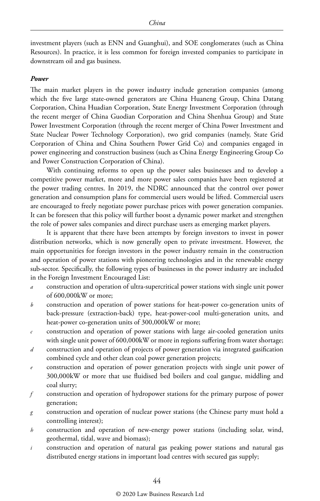investment players (such as ENN and Guanghui), and SOE conglomerates (such as China Resources). In practice, it is less common for foreign invested companies to participate in downstream oil and gas business.

#### *Power*

The main market players in the power industry include generation companies (among which the five large state-owned generators are China Huaneng Group, China Datang Corporation, China Huadian Corporation, State Energy Investment Corporation (through the recent merger of China Guodian Corporation and China Shenhua Group) and State Power Investment Corporation (through the recent merger of China Power Investment and State Nuclear Power Technology Corporation), two grid companies (namely, State Grid Corporation of China and China Southern Power Grid Co) and companies engaged in power engineering and construction business (such as China Energy Engineering Group Co and Power Construction Corporation of China).

With continuing reforms to open up the power sales businesses and to develop a competitive power market, more and more power sales companies have been registered at the power trading centres. In 2019, the NDRC announced that the control over power generation and consumption plans for commercial users would be lifted. Commercial users are encouraged to freely negotiate power purchase prices with power generation companies. It can be foreseen that this policy will further boost a dynamic power market and strengthen the role of power sales companies and direct purchase users as emerging market players.

It is apparent that there have been attempts by foreign investors to invest in power distribution networks, which is now generally open to private investment. However, the main opportunities for foreign investors in the power industry remain in the construction and operation of power stations with pioneering technologies and in the renewable energy sub-sector. Specifically, the following types of businesses in the power industry are included in the Foreign Investment Encouraged List:

- *a* construction and operation of ultra-supercritical power stations with single unit power of 600,000kW or more;
- *b* construction and operation of power stations for heat-power co-generation units of back-pressure (extraction-back) type, heat-power-cool multi-generation units, and heat-power co-generation units of 300,000kW or more;
- *c* construction and operation of power stations with large air-cooled generation units with single unit power of 600,000kW or more in regions suffering from water shortage;
- *d* construction and operation of projects of power generation via integrated gasification combined cycle and other clean coal power generation projects;
- *e* construction and operation of power generation projects with single unit power of 300,000kW or more that use fluidised bed boilers and coal gangue, middling and coal slurry;
- *f* construction and operation of hydropower stations for the primary purpose of power generation;
- *g* construction and operation of nuclear power stations (the Chinese party must hold a controlling interest);
- *h* construction and operation of new-energy power stations (including solar, wind, geothermal, tidal, wave and biomass);
- *i* construction and operation of natural gas peaking power stations and natural gas distributed energy stations in important load centres with secured gas supply;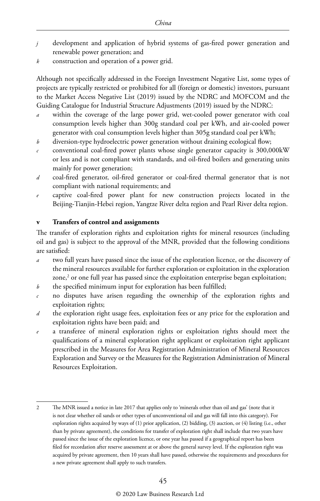- *j* development and application of hybrid systems of gas-fired power generation and renewable power generation; and
- *k* construction and operation of a power grid.

Although not specifically addressed in the Foreign Investment Negative List, some types of projects are typically restricted or prohibited for all (foreign or domestic) investors, pursuant to the Market Access Negative List (2019) issued by the NDRC and MOFCOM and the Guiding Catalogue for Industrial Structure Adjustments (2019) issued by the NDRC:

- within the coverage of the large power grid, wet-cooled power generator with coal consumption levels higher than 300g standard coal per kWh, and air-cooled power generator with coal consumption levels higher than 305g standard coal per kWh;
- *b* diversion-type hydroelectric power generation without draining ecological flow;
- *c* conventional coal-fired power plants whose single generator capacity is 300,000kW or less and is not compliant with standards, and oil-fired boilers and generating units mainly for power generation;
- *d* coal-fired generator, oil-fired generator or coal-fired thermal generator that is not compliant with national requirements; and
- *e* captive coal-fired power plant for new construction projects located in the Beijing-Tianjin-Hebei region, Yangtze River delta region and Pearl River delta region.

#### **v Transfers of control and assignments**

The transfer of exploration rights and exploitation rights for mineral resources (including oil and gas) is subject to the approval of the MNR, provided that the following conditions are satisfied:

- *a* two full years have passed since the issue of the exploration licence, or the discovery of the mineral resources available for further exploration or exploitation in the exploration zone, $\degree$  or one full year has passed since the exploitation enterprise began exploitation;
- *b* the specified minimum input for exploration has been fulfilled;
- *c* no disputes have arisen regarding the ownership of the exploration rights and exploitation rights;
- *d* the exploration right usage fees, exploitation fees or any price for the exploration and exploitation rights have been paid; and
- a transferee of mineral exploration rights or exploitation rights should meet the qualifications of a mineral exploration right applicant or exploitation right applicant prescribed in the Measures for Area Registration Administration of Mineral Resources Exploration and Survey or the Measures for the Registration Administration of Mineral Resources Exploitation.

<sup>2</sup> The MNR issued a notice in late 2017 that applies only to 'minerals other than oil and gas' (note that it is not clear whether oil sands or other types of unconventional oil and gas will fall into this category). For exploration rights acquired by ways of (1) prior application, (2) bidding, (3) auction, or (4) listing (i.e., other than by private agreement), the conditions for transfer of exploration right shall include that two years have passed since the issue of the exploration licence, or one year has passed if a geographical report has been filed for recordation after reserve assessment at or above the general survey level. If the exploration right was acquired by private agreement, then 10 years shall have passed, otherwise the requirements and procedures for a new private agreement shall apply to such transfers.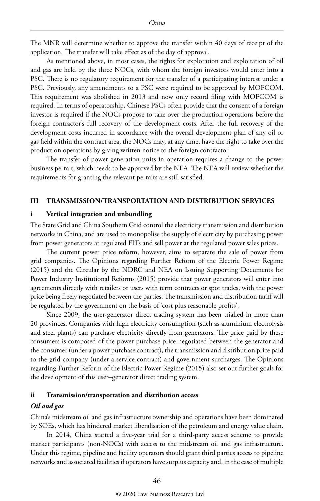The MNR will determine whether to approve the transfer within 40 days of receipt of the application. The transfer will take effect as of the day of approval.

As mentioned above, in most cases, the rights for exploration and exploitation of oil and gas are held by the three NOCs, with whom the foreign investors would enter into a PSC. There is no regulatory requirement for the transfer of a participating interest under a PSC. Previously, any amendments to a PSC were required to be approved by MOFCOM. This requirement was abolished in 2013 and now only record filing with MOFCOM is required. In terms of operatorship, Chinese PSCs often provide that the consent of a foreign investor is required if the NOCs propose to take over the production operations before the foreign contractor's full recovery of the development costs. After the full recovery of the development costs incurred in accordance with the overall development plan of any oil or gas field within the contract area, the NOCs may, at any time, have the right to take over the production operations by giving written notice to the foreign contractor.

The transfer of power generation units in operation requires a change to the power business permit, which needs to be approved by the NEA. The NEA will review whether the requirements for granting the relevant permits are still satisfied.

#### **III TRANSMISSION/TRANSPORTATION AND DISTRIBUTION SERVICES**

#### **i Vertical integration and unbundling**

The State Grid and China Southern Grid control the electricity transmission and distribution networks in China, and are used to monopolise the supply of electricity by purchasing power from power generators at regulated FITs and sell power at the regulated power sales prices.

The current power price reform, however, aims to separate the sale of power from grid companies. The Opinions regarding Further Reform of the Electric Power Regime (2015) and the Circular by the NDRC and NEA on Issuing Supporting Documents for Power Industry Institutional Reforms (2015) provide that power generators will enter into agreements directly with retailers or users with term contracts or spot trades, with the power price being freely negotiated between the parties. The transmission and distribution tariff will be regulated by the government on the basis of 'cost plus reasonable profits'.

Since 2009, the user-generator direct trading system has been trialled in more than 20 provinces. Companies with high electricity consumption (such as aluminium electrolysis and steel plants) can purchase electricity directly from generators. The price paid by these consumers is composed of the power purchase price negotiated between the generator and the consumer (under a power purchase contract), the transmission and distribution price paid to the grid company (under a service contract) and government surcharges. The Opinions regarding Further Reform of the Electric Power Regime (2015) also set out further goals for the development of this user–generator direct trading system.

#### **ii Transmission/transportation and distribution access**

#### *Oil and gas*

China's midstream oil and gas infrastructure ownership and operations have been dominated by SOEs, which has hindered market liberalisation of the petroleum and energy value chain.

In 2014, China started a five-year trial for a third-party access scheme to provide market participants (non-NOCs) with access to the midstream oil and gas infrastructure. Under this regime, pipeline and facility operators should grant third parties access to pipeline networks and associated facilities if operators have surplus capacity and, in the case of multiple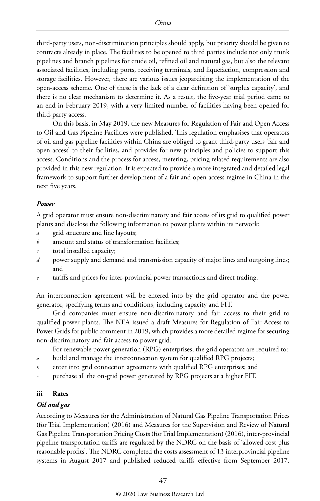third-party users, non-discrimination principles should apply, but priority should be given to contracts already in place. The facilities to be opened to third parties include not only trunk pipelines and branch pipelines for crude oil, refined oil and natural gas, but also the relevant associated facilities, including ports, receiving terminals, and liquefaction, compression and storage facilities. However, there are various issues jeopardising the implementation of the open-access scheme. One of these is the lack of a clear definition of 'surplus capacity', and there is no clear mechanism to determine it. As a result, the five-year trial period came to an end in February 2019, with a very limited number of facilities having been opened for third-party access.

On this basis, in May 2019, the new Measures for Regulation of Fair and Open Access to Oil and Gas Pipeline Facilities were published. This regulation emphasises that operators of oil and gas pipeline facilities within China are obliged to grant third-party users 'fair and open access' to their facilities, and provides for new principles and policies to support this access. Conditions and the process for access, metering, pricing related requirements are also provided in this new regulation. It is expected to provide a more integrated and detailed legal framework to support further development of a fair and open access regime in China in the next five years.

#### *Power*

A grid operator must ensure non-discriminatory and fair access of its grid to qualified power plants and disclose the following information to power plants within its network:

- *a* grid structure and line layouts;
- *b* amount and status of transformation facilities;
- *c* total installed capacity;
- *d* power supply and demand and transmission capacity of major lines and outgoing lines; and
- tariffs and prices for inter-provincial power transactions and direct trading.

An interconnection agreement will be entered into by the grid operator and the power generator, specifying terms and conditions, including capacity and FIT.

Grid companies must ensure non-discriminatory and fair access to their grid to qualified power plants. The NEA issued a draft Measures for Regulation of Fair Access to Power Grids for public comment in 2019, which provides a more detailed regime for securing non-discriminatory and fair access to power grid.

For renewable power generation (RPG) enterprises, the grid operators are required to:

- *a* build and manage the interconnection system for qualified RPG projects;
- *b* enter into grid connection agreements with qualified RPG enterprises; and
- *c* purchase all the on-grid power generated by RPG projects at a higher FIT.

#### **iii Rates**

#### *Oil and gas*

According to Measures for the Administration of Natural Gas Pipeline Transportation Prices (for Trial Implementation) (2016) and Measures for the Supervision and Review of Natural Gas Pipeline Transportation Pricing Costs (for Trial Implementation) (2016), inter-provincial pipeline transportation tariffs are regulated by the NDRC on the basis of 'allowed cost plus reasonable profits'. The NDRC completed the costs assessment of 13 interprovincial pipeline systems in August 2017 and published reduced tariffs effective from September 2017.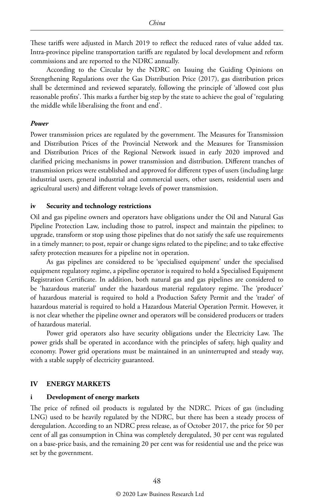These tariffs were adjusted in March 2019 to reflect the reduced rates of value added tax. Intra-province pipeline transportation tariffs are regulated by local development and reform commissions and are reported to the NDRC annually.

According to the Circular by the NDRC on Issuing the Guiding Opinions on Strengthening Regulations over the Gas Distribution Price (2017), gas distribution prices shall be determined and reviewed separately, following the principle of 'allowed cost plus reasonable profits'. This marks a further big step by the state to achieve the goal of 'regulating the middle while liberalising the front and end'.

#### *Power*

Power transmission prices are regulated by the government. The Measures for Transmission and Distribution Prices of the Provincial Network and the Measures for Transmission and Distribution Prices of the Regional Network issued in early 2020 improved and clarified pricing mechanisms in power transmission and distribution. Different tranches of transmission prices were established and approved for different types of users (including large industrial users, general industrial and commercial users, other users, residential users and agricultural users) and different voltage levels of power transmission.

#### **iv Security and technology restrictions**

Oil and gas pipeline owners and operators have obligations under the Oil and Natural Gas Pipeline Protection Law, including those to patrol, inspect and maintain the pipelines; to upgrade, transform or stop using those pipelines that do not satisfy the safe use requirements in a timely manner; to post, repair or change signs related to the pipeline; and to take effective safety protection measures for a pipeline not in operation.

As gas pipelines are considered to be 'specialised equipment' under the specialised equipment regulatory regime, a pipeline operator is required to hold a Specialised Equipment Registration Certificate. In addition, both natural gas and gas pipelines are considered to be 'hazardous material' under the hazardous material regulatory regime. The 'producer' of hazardous material is required to hold a Production Safety Permit and the 'trader' of hazardous material is required to hold a Hazardous Material Operation Permit. However, it is not clear whether the pipeline owner and operators will be considered producers or traders of hazardous material.

Power grid operators also have security obligations under the Electricity Law. The power grids shall be operated in accordance with the principles of safety, high quality and economy. Power grid operations must be maintained in an uninterrupted and steady way, with a stable supply of electricity guaranteed.

#### **IV ENERGY MARKETS**

#### **i Development of energy markets**

The price of refined oil products is regulated by the NDRC. Prices of gas (including LNG) used to be heavily regulated by the NDRC, but there has been a steady process of deregulation. According to an NDRC press release, as of October 2017, the price for 50 per cent of all gas consumption in China was completely deregulated, 30 per cent was regulated on a base-price basis, and the remaining 20 per cent was for residential use and the price was set by the government.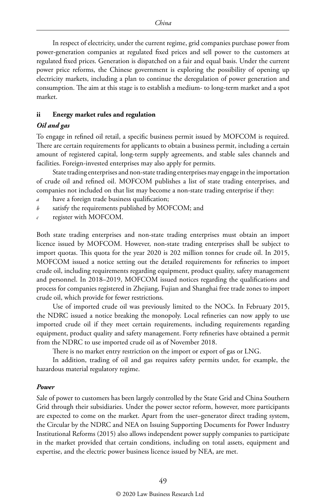In respect of electricity, under the current regime, grid companies purchase power from power-generation companies at regulated fixed prices and sell power to the customers at regulated fixed prices. Generation is dispatched on a fair and equal basis. Under the current power price reforms, the Chinese government is exploring the possibility of opening up electricity markets, including a plan to continue the deregulation of power generation and consumption. The aim at this stage is to establish a medium- to long-term market and a spot market.

#### **ii Energy market rules and regulation**

#### *Oil and gas*

To engage in refined oil retail, a specific business permit issued by MOFCOM is required. There are certain requirements for applicants to obtain a business permit, including a certain amount of registered capital, long-term supply agreements, and stable sales channels and facilities. Foreign-invested enterprises may also apply for permits.

State trading enterprises and non-state trading enterprises may engage in the importation of crude oil and refined oil. MOFCOM publishes a list of state trading enterprises, and companies not included on that list may become a non-state trading enterprise if they:

- *a* have a foreign trade business qualification;
- *b* satisfy the requirements published by MOFCOM; and
- *c* register with MOFCOM.

Both state trading enterprises and non-state trading enterprises must obtain an import licence issued by MOFCOM. However, non-state trading enterprises shall be subject to import quotas. This quota for the year 2020 is 202 million tonnes for crude oil. In 2015, MOFCOM issued a notice setting out the detailed requirements for refineries to import crude oil, including requirements regarding equipment, product quality, safety management and personnel. In 2018–2019, MOFCOM issued notices regarding the qualifications and process for companies registered in Zhejiang, Fujian and Shanghai free trade zones to import crude oil, which provide for fewer restrictions.

Use of imported crude oil was previously limited to the NOCs. In February 2015, the NDRC issued a notice breaking the monopoly. Local refineries can now apply to use imported crude oil if they meet certain requirements, including requirements regarding equipment, product quality and safety management. Forty refineries have obtained a permit from the NDRC to use imported crude oil as of November 2018.

There is no market entry restriction on the import or export of gas or LNG.

In addition, trading of oil and gas requires safety permits under, for example, the hazardous material regulatory regime.

#### *Power*

Sale of power to customers has been largely controlled by the State Grid and China Southern Grid through their subsidiaries. Under the power sector reform, however, more participants are expected to come on the market. Apart from the user–generator direct trading system, the Circular by the NDRC and NEA on Issuing Supporting Documents for Power Industry Institutional Reforms (2015) also allows independent power supply companies to participate in the market provided that certain conditions, including on total assets, equipment and expertise, and the electric power business licence issued by NEA, are met.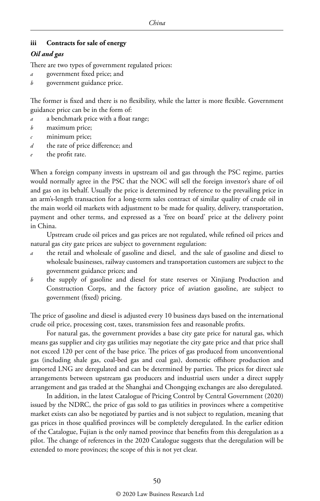#### **iii Contracts for sale of energy**

#### *Oil and gas*

There are two types of government regulated prices:

- *a* government fixed price; and
- *b* government guidance price.

The former is fixed and there is no flexibility, while the latter is more flexible. Government guidance price can be in the form of:

- *a* a benchmark price with a float range;
- *b* maximum price;
- *c* minimum price;
- *d* the rate of price difference; and
- the profit rate.

When a foreign company invests in upstream oil and gas through the PSC regime, parties would normally agree in the PSC that the NOC will sell the foreign investor's share of oil and gas on its behalf. Usually the price is determined by reference to the prevailing price in an arm's-length transaction for a long-term sales contract of similar quality of crude oil in the main world oil markets with adjustment to be made for quality, delivery, transportation, payment and other terms, and expressed as a 'free on board' price at the delivery point in China.

Upstream crude oil prices and gas prices are not regulated, while refined oil prices and natural gas city gate prices are subject to government regulation:

- *a* the retail and wholesale of gasoline and diesel, and the sale of gasoline and diesel to wholesale businesses, railway customers and transportation customers are subject to the government guidance prices; and
- *b* the supply of gasoline and diesel for state reserves or Xinjiang Production and Construction Corps, and the factory price of aviation gasoline, are subject to government (fixed) pricing.

The price of gasoline and diesel is adjusted every 10 business days based on the international crude oil price, processing cost, taxes, transmission fees and reasonable profits.

For natural gas, the government provides a base city gate price for natural gas, which means gas supplier and city gas utilities may negotiate the city gate price and that price shall not exceed 120 per cent of the base price. The prices of gas produced from unconventional gas (including shale gas, coal-bed gas and coal gas), domestic offshore production and imported LNG are deregulated and can be determined by parties. The prices for direct sale arrangements between upstream gas producers and industrial users under a direct supply arrangement and gas traded at the Shanghai and Chongqing exchanges are also deregulated.

In addition, in the latest Catalogue of Pricing Control by Central Government (2020) issued by the NDRC, the price of gas sold to gas utilities in provinces where a competitive market exists can also be negotiated by parties and is not subject to regulation, meaning that gas prices in those qualified provinces will be completely deregulated. In the earlier edition of the Catalogue, Fujian is the only named province that benefits from this deregulation as a pilot. The change of references in the 2020 Catalogue suggests that the deregulation will be extended to more provinces; the scope of this is not yet clear.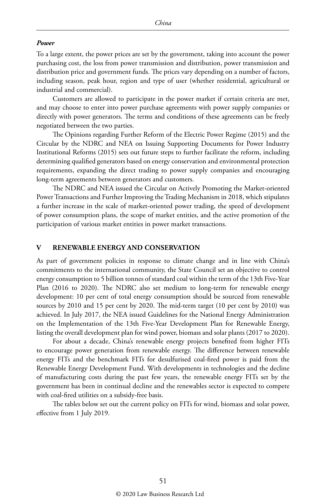#### *Power*

To a large extent, the power prices are set by the government, taking into account the power purchasing cost, the loss from power transmission and distribution, power transmission and distribution price and government funds. The prices vary depending on a number of factors, including season, peak hour, region and type of user (whether residential, agricultural or industrial and commercial).

Customers are allowed to participate in the power market if certain criteria are met, and may choose to enter into power purchase agreements with power supply companies or directly with power generators. The terms and conditions of these agreements can be freely negotiated between the two parties.

The Opinions regarding Further Reform of the Electric Power Regime (2015) and the Circular by the NDRC and NEA on Issuing Supporting Documents for Power Industry Institutional Reforms (2015) sets out future steps to further facilitate the reform, including determining qualified generators based on energy conservation and environmental protection requirements, expanding the direct trading to power supply companies and encouraging long-term agreements between generators and customers.

The NDRC and NEA issued the Circular on Actively Promoting the Market-oriented Power Transactions and Further Improving the Trading Mechanism in 2018, which stipulates a further increase in the scale of market-oriented power trading, the speed of development of power consumption plans, the scope of market entities, and the active promotion of the participation of various market entities in power market transactions.

#### **V RENEWABLE ENERGY AND CONSERVATION**

As part of government policies in response to climate change and in line with China's commitments to the international community, the State Council set an objective to control energy consumption to 5 billion tonnes of standard coal within the term of the 13th Five-Year Plan (2016 to 2020). The NDRC also set medium to long-term for renewable energy development: 10 per cent of total energy consumption should be sourced from renewable sources by 2010 and 15 per cent by 2020. The mid-term target (10 per cent by 2010) was achieved. In July 2017, the NEA issued Guidelines for the National Energy Administration on the Implementation of the 13th Five-Year Development Plan for Renewable Energy, listing the overall development plan for wind power, biomass and solar plants (2017 to 2020).

For about a decade, China's renewable energy projects benefited from higher FITs to encourage power generation from renewable energy. The difference between renewable energy FITs and the benchmark FITs for desulfurised coal-fired power is paid from the Renewable Energy Development Fund. With developments in technologies and the decline of manufacturing costs during the past few years, the renewable energy FITs set by the government has been in continual decline and the renewables sector is expected to compete with coal-fired utilities on a subsidy-free basis.

The tables below set out the current policy on FITs for wind, biomass and solar power, effective from 1 July 2019.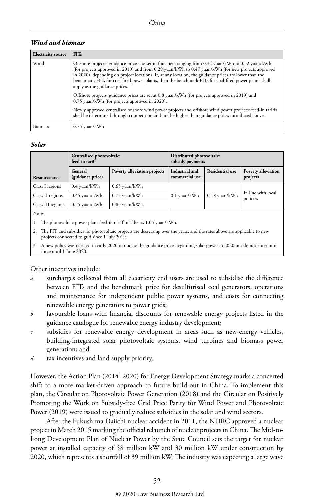#### *Wind and biomass*

| <b>Electricity source</b> | <b>FITs</b>                                                                                                                                                                                                                                                                                                                                                                                                                                                  |
|---------------------------|--------------------------------------------------------------------------------------------------------------------------------------------------------------------------------------------------------------------------------------------------------------------------------------------------------------------------------------------------------------------------------------------------------------------------------------------------------------|
| Wind                      | Onshore projects: guidance prices are set in four tiers ranging from 0.34 yuan/kWh to 0.52 yuan/kWh<br>(for projects approved in 2019) and from 0.29 yuan/kWh to 0.47 yuan/kWh (for new projects approved<br>in 2020), depending on project locations. If, at any location, the guidance prices are lower than the<br>benchmark FITs for coal-fired power plants, then the benchmark FITs for coal-fired power plants shall<br>apply as the guidance prices. |
|                           | Offshore projects: guidance prices are set at 0.8 yuan/kWh (for projects approved in 2019) and<br>0.75 yuan/kWh (for projects approved in 2020).                                                                                                                                                                                                                                                                                                             |
|                           | Newly approved centralised onshore wind power projects and offshore wind power projects: feed-in tariffs<br>shall be determined through competition and not be higher than guidance prices introduced above.                                                                                                                                                                                                                                                 |
| <b>Biomass</b>            | 0.75 yuan/kWh                                                                                                                                                                                                                                                                                                                                                                                                                                                |

#### *Solar*

|                   | Centralised photovoltaic:<br>feed-in tariff |                              | Distributed photovoltaic:<br>subsidy payments |                        |                                 |
|-------------------|---------------------------------------------|------------------------------|-----------------------------------------------|------------------------|---------------------------------|
| Resource area     | General<br>(guidance price)                 | Poverty alleviation projects | Industrial and<br>commercial use              | <b>Residential use</b> | Poverty alleviation<br>projects |
| Class I regions   | 0.4 yuan/kWh                                | $0.65$ yuan/kWh              |                                               |                        | In line with local<br>policies  |
| Class II regions  | 0.45 yuan/kWh                               | 0.75 yuan/kWh                | $0.1$ yuan/kWh                                | 0.18 yuan/kWh          |                                 |
| Class III regions | 0.55 yuan/kWh                               | $0.85$ yuan/kWh              |                                               |                        |                                 |
| <b>Notes</b>      |                                             |                              |                                               |                        |                                 |

Notes

1. The photovoltaic power plant feed-in tariff in Tibet is 1.05 yuan/kWh.

2. The FIT and subsidies for photovoltaic projects are decreasing over the years, and the rates above are applicable to new projects connected to grid since 1 July 2019.

3. A new policy was released in early 2020 to update the guidance prices regarding solar power in 2020 but do not enter into force until 1 June 2020.

#### Other incentives include:

- *a* surcharges collected from all electricity end users are used to subsidise the difference between FITs and the benchmark price for desulfurised coal generators, operations and maintenance for independent public power systems, and costs for connecting renewable energy generators to power grids;
- *b* favourable loans with financial discounts for renewable energy projects listed in the guidance catalogue for renewable energy industry development;
- *c* subsidies for renewable energy development in areas such as new-energy vehicles, building-integrated solar photovoltaic systems, wind turbines and biomass power generation; and
- *d* tax incentives and land supply priority.

However, the Action Plan (2014–2020) for Energy Development Strategy marks a concerted shift to a more market-driven approach to future build-out in China. To implement this plan, the Circular on Photovoltaic Power Generation (2018) and the Circular on Positively Promoting the Work on Subsidy-free Grid Price Parity for Wind Power and Photovoltaic Power (2019) were issued to gradually reduce subsidies in the solar and wind sectors.

After the Fukushima Daiichi nuclear accident in 2011, the NDRC approved a nuclear project in March 2015 marking the official relaunch of nuclear projects in China. The Mid-to-Long Development Plan of Nuclear Power by the State Council sets the target for nuclear power at installed capacity of 58 million kW and 30 million kW under construction by 2020, which represents a shortfall of 39 million kW. The industry was expecting a large wave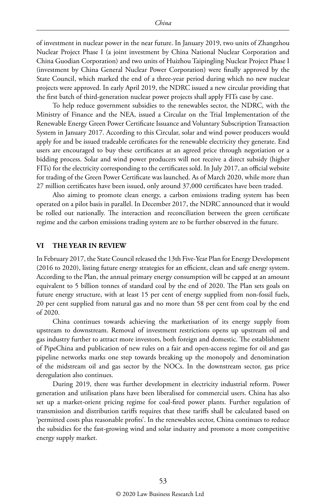of investment in nuclear power in the near future. In January 2019, two units of Zhangzhou Nuclear Project Phase I (a joint investment by China National Nuclear Corporation and China Guodian Corporation) and two units of Huizhou Taipingling Nuclear Project Phase I (investment by China General Nuclear Power Corporation) were finally approved by the State Council, which marked the end of a three-year period during which no new nuclear projects were approved. In early April 2019, the NDRC issued a new circular providing that the first batch of third-generation nuclear power projects shall apply FITs case by case.

To help reduce government subsidies to the renewables sector, the NDRC, with the Ministry of Finance and the NEA, issued a Circular on the Trial Implementation of the Renewable Energy Green Power Certificate Issuance and Voluntary Subscription Transaction System in January 2017. According to this Circular, solar and wind power producers would apply for and be issued tradeable certificates for the renewable electricity they generate. End users are encouraged to buy these certificates at an agreed price through negotiation or a bidding process. Solar and wind power producers will not receive a direct subsidy (higher FITs) for the electricity corresponding to the certificates sold. In July 2017, an official website for trading of the Green Power Certificate was launched. As of March 2020, while more than 27 million certificates have been issued, only around 37,000 certificates have been traded.

Also aiming to promote clean energy, a carbon emissions trading system has been operated on a pilot basis in parallel. In December 2017, the NDRC announced that it would be rolled out nationally. The interaction and reconciliation between the green certificate regime and the carbon emissions trading system are to be further observed in the future.

#### **VI THE YEAR IN REVIEW**

In February 2017, the State Council released the 13th Five-Year Plan for Energy Development (2016 to 2020), listing future energy strategies for an efficient, clean and safe energy system. According to the Plan, the annual primary energy consumption will be capped at an amount equivalent to 5 billion tonnes of standard coal by the end of 2020. The Plan sets goals on future energy structure, with at least 15 per cent of energy supplied from non-fossil fuels, 20 per cent supplied from natural gas and no more than 58 per cent from coal by the end of 2020.

China continues towards achieving the marketisation of its energy supply from upstream to downstream. Removal of investment restrictions opens up upstream oil and gas industry further to attract more investors, both foreign and domestic. The establishment of PipeChina and publication of new rules on a fair and open-access regime for oil and gas pipeline networks marks one step towards breaking up the monopoly and denomination of the midstream oil and gas sector by the NOCs. In the downstream sector, gas price deregulation also continues.

During 2019, there was further development in electricity industrial reform. Power generation and utilisation plans have been liberalised for commercial users. China has also set up a market-orient pricing regime for coal-fired power plants. Further regulation of transmission and distribution tariffs requires that these tariffs shall be calculated based on 'permitted costs plus reasonable profits'. In the renewables sector, China continues to reduce the subsidies for the fast-growing wind and solar industry and promote a more competitive energy supply market.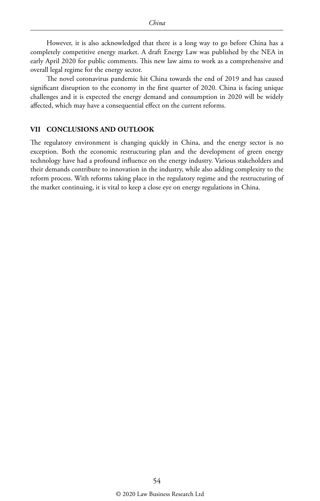However, it is also acknowledged that there is a long way to go before China has a completely competitive energy market. A draft Energy Law was published by the NEA in early April 2020 for public comments. This new law aims to work as a comprehensive and overall legal regime for the energy sector.

The novel coronavirus pandemic hit China towards the end of 2019 and has caused significant disruption to the economy in the first quarter of 2020. China is facing unique challenges and it is expected the energy demand and consumption in 2020 will be widely affected, which may have a consequential effect on the current reforms.

#### **VII CONCLUSIONS AND OUTLOOK**

The regulatory environment is changing quickly in China, and the energy sector is no exception. Both the economic restructuring plan and the development of green energy technology have had a profound influence on the energy industry. Various stakeholders and their demands contribute to innovation in the industry, while also adding complexity to the reform process. With reforms taking place in the regulatory regime and the restructuring of the market continuing, it is vital to keep a close eye on energy regulations in China.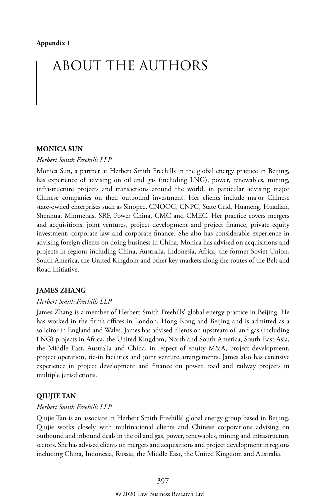# ABOUT THE AUTHORS

#### **MONICA SUN**

#### *Herbert Smith Freehills LLP*

Monica Sun, a partner at Herbert Smith Freehills in the global energy practice in Beijing, has experience of advising on oil and gas (including LNG), power, renewables, mining, infrastructure projects and transactions around the world, in particular advising major Chinese companies on their outbound investment. Her clients include major Chinese state-owned enterprises such as Sinopec, CNOOC, CNPC, State Grid, Huaneng, Huadian, Shenhua, Minmetals, SRF, Power China, CMC and CMEC. Her practice covers mergers and acquisitions, joint ventures, project development and project finance, private equity investment, corporate law and corporate finance. She also has considerable experience in advising foreign clients on doing business in China. Monica has advised on acquisitions and projects in regions including China, Australia, Indonesia, Africa, the former Soviet Union, South America, the United Kingdom and other key markets along the routes of the Belt and Road Initiative.

#### **JAMES ZHANG**

#### *Herbert Smith Freehills LLP*

James Zhang is a member of Herbert Smith Freehills' global energy practice in Beijing. He has worked in the firm's offices in London, Hong Kong and Beijing and is admitted as a solicitor in England and Wales. James has advised clients on upstream oil and gas (including LNG) projects in Africa, the United Kingdom, North and South America, South-East Asia, the Middle East, Australia and China, in respect of equity M&A, project development, project operation, tie-in facilities and joint venture arrangements. James also has extensive experience in project development and finance on power, road and railway projects in multiple jurisdictions.

#### **QIUJIE TAN**

#### *Herbert Smith Freehills LLP*

Qiujie Tan is an associate in Herbert Smith Freehills' global energy group based in Beijing. Qiujie works closely with multinational clients and Chinese corporations advising on outbound and inbound deals in the oil and gas, power, renewables, mining and infrastructure sectors. She has advised clients on mergers and acquisitions and project development in regions including China, Indonesia, Russia, the Middle East, the United Kingdom and Australia.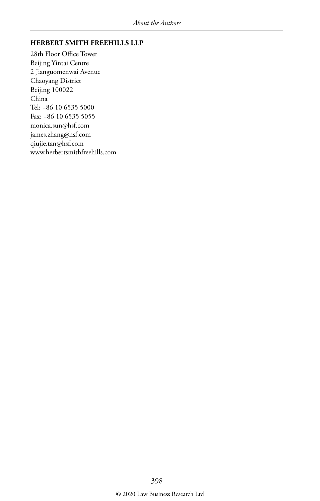#### **HERBERT SMITH FREEHILLS LLP**

28th Floor Office Tower Beijing Yintai Centre 2 Jianguomenwai Avenue Chaoyang District Beijing 100022 China Tel: +86 10 6535 5000 Fax: +86 10 6535 5055 monica.sun@hsf.com james.zhang@hsf.com qiujie.tan@hsf.com www.herbertsmithfreehills.com